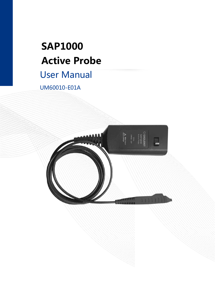# **SAP1000 Active Probe**

# User Manual

UM60010-E01A

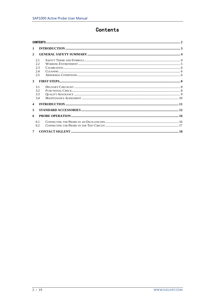## Contents

<span id="page-1-0"></span>

| 1                       | INTRODUCTION 3 3                 |  |  |  |  |  |  |
|-------------------------|----------------------------------|--|--|--|--|--|--|
| $\mathbf{2}$            |                                  |  |  |  |  |  |  |
|                         | 2.1<br>2.2.<br>2.3<br>2.4<br>2.5 |  |  |  |  |  |  |
| 3                       |                                  |  |  |  |  |  |  |
|                         | 3.1<br>3.2<br>3.3<br>3.4         |  |  |  |  |  |  |
| $\overline{\mathbf{4}}$ |                                  |  |  |  |  |  |  |
| 5                       |                                  |  |  |  |  |  |  |
| 6                       |                                  |  |  |  |  |  |  |
|                         | 6.1<br>6.2                       |  |  |  |  |  |  |
| $\overline{7}$          |                                  |  |  |  |  |  |  |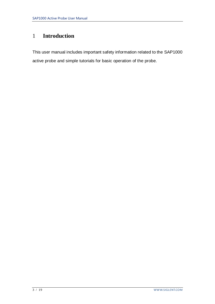# <span id="page-2-0"></span>1 **Introduction**

This user manual includes important safety information related to the SAP1000 active probe and simple tutorials for basic operation of the probe.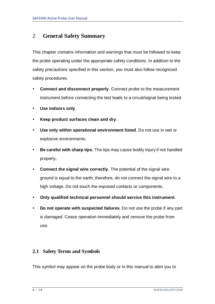## <span id="page-3-0"></span>2 **General Safety Summary**

This chapter contains information and warnings that must be followed to keep the probe operating under the appropriate safety conditions. In addition to the safety precautions specified in this section, you must also follow recognized safety procedures.

- **Connect and disconnect properly**. Connect probe to the measurement instrument before connecting the test leads to a circuit/signal being tested.
- **Use indoors only**.
- **Keep product surfaces clean and dry**.
- **Use only within operational environment listed**. Do not use in wet or explosive environments.
- **Be careful with sharp tips**. The tips may cause bodily injury if not handled properly.
- **Connect the signal wire correctly**. The potential of the signal wire ground is equal to the earth; therefore, do not connect the signal wire to a high voltage. Do not touch the exposed contacts or components.
- **Only qualified technical personnel should service this instrument**.
- **Do not operate with suspected failures**. Do not use the probe if any part is damaged. Cease operation immediately and remove the probe from use.

## <span id="page-3-1"></span>**2.1 Safety Terms and Symbols**

This symbol may appear on the probe body or in this manual to alert you to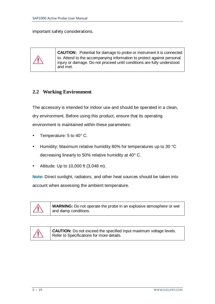important safety considerations.



**CAUTION:** Potential for damage to probe or instrument it is connected to. Attend to the accompanying information to protect against personal injury or damage. Do not proceed until conditions are fully understood and met.

## <span id="page-4-0"></span>**2.2 Working Environment**

The accessory is intended for indoor use and should be operated in a clean, dry environment. Before using this product, ensure that its operating environment is maintained within these parameters:

- Temperature: 5 to 40° C.
- Humidity: Maximum relative humidity 80% for temperatures up to 30 °C decreasing linearly to 50% relative humidity at 40° C.
- Altitude: Up to 10,000 ft (3,048 m).

**Note:** Direct sunlight, radiators, and other heat sources should be taken into account when assessing the ambient temperature.



**WARNING:** Do not operate the probe in an explosive atmosphere or wet and damp conditions.



**CAUTION:** Do not exceed the specified input maximum voltage levels. Refer to Specifications for more details.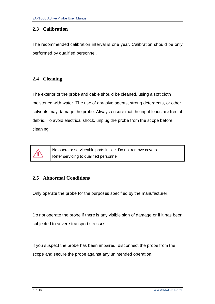## <span id="page-5-0"></span>**2.3 Calibration**

The recommended calibration interval is one year. Calibration should be only performed by qualified personnel.

## <span id="page-5-1"></span>**2.4 Cleaning**

The exterior of the probe and cable should be cleaned, using a soft cloth moistened with water. The use of abrasive agents, strong detergents, or other solvents may damage the probe. Always ensure that the input leads are free of debris. To avoid electrical shock, unplug the probe from the scope before cleaning.



No operator serviceable parts inside. Do not remove covers. Refer servicing to qualified personnel

## <span id="page-5-2"></span>**2.5 Abnormal Conditions**

Only operate the probe for the purposes specified by the manufacturer.

Do not operate the probe if there is any visible sign of damage or if it has been subjected to severe transport stresses.

If you suspect the probe has been impaired, disconnect the probe from the scope and secure the probe against any unintended operation.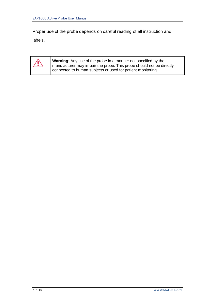Proper use of the probe depends on careful reading of all instruction and labels.

*⁄i* 

**Warning**: Any use of the probe in a manner not specified by the manufacturer may impair the probe. This probe should not be directly connected to human subjects or used for patient monitoring.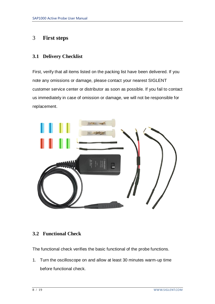## <span id="page-7-0"></span>3 **First steps**

## <span id="page-7-1"></span>**3.1 Delivery Checklist**

First, verify that all items listed on the packing list have been delivered. If you note any omissions or damage, please contact your nearest SIGLENT customer service center or distributor as soon as possible. If you fail to contact us immediately in case of omission or damage, we will not be responsible for replacement.



## <span id="page-7-2"></span>**3.2 Functional Check**

The functional check verifies the basic functional of the probe functions.

1. Turn the oscilloscope on and allow at least 30 minutes warm-up time before functional check.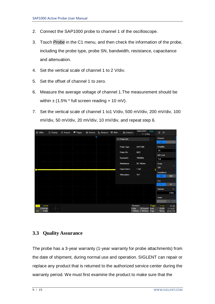- 2. Connect the SAP1000 probe to channel 1 of the oscilloscope.
- 3. Touch *Probe* in the C1 menu, and then check the information of the probe, including the probe type, probe SN, bandwidth, resistance, capacitance and attenuation.
- 4. Set the vertical scale of channel 1 to 2 V/div.
- 5. Set the offset of channel 1 to zero.
- 6. Measure the average voltage of channel 1.The measurement should be within  $\pm$  (1.5%  $*$  full screen reading + 10 mV).
- 7. Set the vertical scale of channel 1 to1 V/div, 500 mV/div, 200 mV/div, 100 mV/div, 50 mV/div, 20 mV/div, 10 mV/div, and repeat step 6.

| <b>發 Utility</b> |                    | $\Box$ Display | <b>fil Acquire</b> | $\blacktriangleright$ Trigger | # Cursors | Measure M Math | <b>&amp; Analysis</b> |                                  | <b>SIGLENT</b><br>$f < 2.0$ Hz | Auto    | 目<br>C <sub>1</sub> |                       |
|------------------|--------------------|----------------|--------------------|-------------------------------|-----------|----------------|-----------------------|----------------------------------|--------------------------------|---------|---------------------|-----------------------|
|                  |                    |                |                    |                               |           |                | C1 Probe Info         |                                  |                                |         | Channel             |                       |
|                  |                    |                |                    |                               |           |                |                       |                                  |                                |         | on                  |                       |
|                  |                    |                |                    |                               |           |                | Probe Type:           |                                  | <b>SAP1000</b>                 |         | Coupling            |                       |
|                  |                    |                |                    |                               |           |                | Probe SN:             | 0022                             |                                |         | DC                  | $\checkmark$          |
|                  |                    |                |                    |                               |           |                |                       |                                  |                                |         | <b>BW Limit</b>     |                       |
|                  |                    |                |                    |                               |           |                | Bandwidth:            |                                  | 1000MHz                        |         | Full                | $\checkmark$          |
|                  |                    |                |                    |                               |           |                | Resistance:           |                                  | DC 1Mohm                       |         | Probe               | $\ $                  |
|                  |                    |                |                    |                               |           |                | Capacitance:          | 1.2pF                            |                                |         | 10X                 |                       |
|                  |                    |                |                    |                               |           |                | <b>Attenuation:</b>   |                                  |                                |         | Impedance           |                       |
|                  |                    |                |                    |                               |           |                |                       | 10:1                             |                                |         | $1M\Omega$          | $50\Omega$            |
|                  |                    |                |                    |                               |           |                |                       |                                  |                                |         | Unit                |                       |
|                  |                    |                |                    |                               |           |                |                       |                                  |                                |         | $\mathbf{V}$        | A                     |
|                  |                    |                |                    |                               |           |                |                       |                                  |                                |         | <b>Deskew</b>       | $\mathfrak{S}$        |
|                  |                    |                |                    |                               |           |                |                       |                                  |                                |         |                     | 0.00s                 |
|                  |                    |                |                    |                               |           |                |                       |                                  |                                |         | Invert              |                       |
|                  |                    |                |                    |                               |           |                |                       |                                  |                                |         |                     | off                   |
| C1               | DC1M               |                |                    |                               |           |                |                       | Timebase                         |                                | Trigger | C1DC                | ♦ 器                   |
| 10X              | 2.00V/div<br>0.00V |                |                    |                               |           |                |                       | 0.00s<br>1.00Mpts 5.00GSa/s Edge | 20.0us/div Auto                |         | 0.00V<br>Rising     | 17:10:42<br>2019/1/18 |

### <span id="page-8-0"></span>**3.3 Quality Assurance**

The probe has a 3-year warranty (1-year warranty for probe attachments) from the date of shipment, during normal use and operation. SIGLENT can repair or replace any product that is returned to the authorized service center during the warranty period. We must first examine the product to make sure that the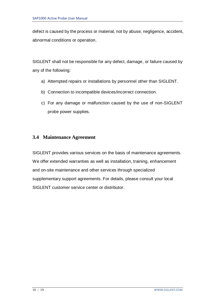defect is caused by the process or material, not by abuse, negligence, accident, abnormal conditions or operation.

SIGLENT shall not be responsible for any defect, damage, or failure caused by any of the following:

- a) Attempted repairs or installations by personnel other than SIGLENT.
- b) Connection to incompatible devices/incorrect connection.
- c) For any damage or malfunction caused by the use of non-SIGLENT probe power supplies.

## <span id="page-9-0"></span>**3.4 Maintenance Agreement**

SIGLENT provides various services on the basis of maintenance agreements. We offer extended warranties as well as installation, training, enhancement and on-site maintenance and other services through specialized supplementary support agreements. For details, please consult your local SIGLENT customer service center or distributor.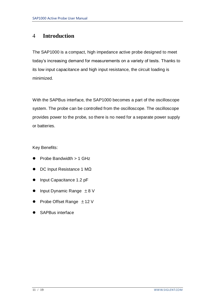## <span id="page-10-0"></span>4 **Introduction**

The SAP1000 is a compact, high impedance active probe designed to meet today's increasing demand for measurements on a variety of tests. Thanks to its low input capacitance and high input resistance, the circuit loading is minimized.

With the SAPBus interface, the SAP1000 becomes a part of the oscilloscope system. The probe can be controlled from the oscilloscope. The oscilloscope provides power to the probe, so there is no need for a separate power supply or batteries.

Key Benefits:

- $\triangleright$  Probe Bandwidth  $> 1$  GHz
- DC Input Resistance 1 MΩ
- Input Capacitance 1.2 pF
- Input Dynamic Range  $\pm 8$  V
- Probe Offset Range  $\pm$  12 V
- SAPBus interface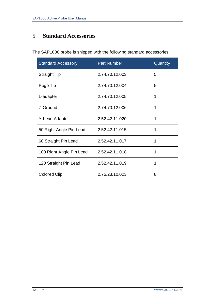# <span id="page-11-0"></span>5 **Standard Accessories**

The SAP1000 probe is shipped with the following standard accessories:

| <b>Standard Accessory</b> | <b>Part Number</b> | Quantity |
|---------------------------|--------------------|----------|
| <b>Straight Tip</b>       | 2.74.70.12.003     | 5        |
| Pogo Tip                  | 2.74.70.12.004     | 5        |
| L-adapter                 | 2.74.70.12.005     | 1        |
| Z-Ground                  | 2.74.70.12.006     | 1        |
| Y-Lead Adapter            | 2.52.42.11.020     | 1        |
| 50 Right Angle Pin Lead   | 2.52.42.11.015     | 1        |
| 60 Straight Pin Lead      | 2.52.42.11.017     | 1        |
| 100 Right Angle Pin Lead  | 2.52.42.11.018     | 1        |
| 120 Straight Pin Lead     | 2.52.42.11.019     | 1        |
| <b>Colored Clip</b>       | 2.75.23.10.003     | 8        |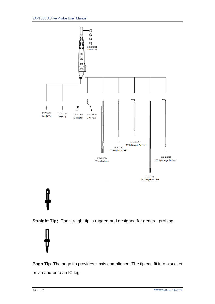



**Pogo Tip**: The pogo tip provides z axis compliance. The tip can fit into a socket or via and onto an IC leg.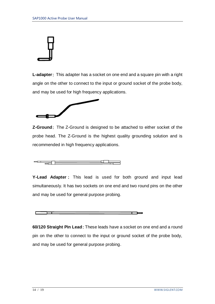

**L-adapter**: This adapter has a socket on one end and a square pin with a right angle on the other to connect to the input or ground socket of the probe body, and may be used for high frequency applications.



**Z-Ground**: The Z-Ground is designed to be attached to either socket of the probe head. The Z-Ground is the highest quality grounding solution and is recommended in high frequency applications.

========= \_\_\_\_\_\_

**Y-Lead Adapter** : This lead is used for both ground and input lead simultaneously. It has two sockets on one end and two round pins on the other and may be used for general purpose probing.



**60/120 Straight Pin Lead:** These leads have a socket on one end and a round pin on the other to connect to the input or ground socket of the probe body, and may be used for general purpose probing.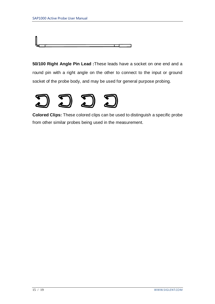

**50/100 Right Angle Pin Lead :**These leads have a socket on one end and a round pin with a right angle on the other to connect to the input or ground socket of the probe body, and may be used for general purpose probing.



**Colored Clips:** These colored clips can be used to distinguish a specific probe from other similar probes being used in the measurement.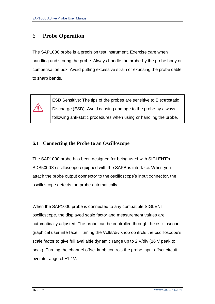## <span id="page-15-0"></span>6 **Probe Operation**

The SAP1000 probe is a precision test instrument. Exercise care when handling and storing the probe. Always handle the probe by the probe body or compensation box. Avoid putting excessive strain or exposing the probe cable to sharp bends.



ESD Sensitive: The tips of the probes are sensitive to Electrostatic Discharge (ESD). Avoid causing damage to the probe by always following anti-static procedures when using or handling the probe.

## <span id="page-15-1"></span>**6.1 Connecting the Probe to an Oscilloscope**

The SAP1000 probe has been designed for being used with SIGLENT's SDS5000X oscilloscope equipped with the SAPBus interface. When you attach the probe output connector to the oscilloscope's input connector, the oscilloscope detects the probe automatically.

When the SAP1000 probe is connected to any compatible SIGLENT oscilloscope, the displayed scale factor and measurement values are automatically adjusted. The probe can be controlled through the oscilloscope graphical user interface. Turning the Volts/div knob controls the oscilloscope's scale factor to give full available dynamic range up to 2 V/div (16 V peak to peak). Turning the channel offset knob controls the probe input offset circuit over its range of ±12 V.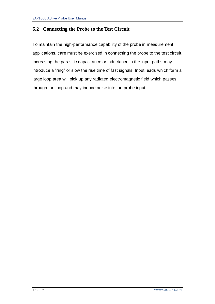## <span id="page-16-0"></span>**6.2 Connecting the Probe to the Test Circuit**

To maintain the high-performance capability of the probe in measurement applications, care must be exercised in connecting the probe to the test circuit. Increasing the parasitic capacitance or inductance in the input paths may introduce a "ring" or slow the rise time of fast signals. Input leads which form a large loop area will pick up any radiated electromagnetic field which passes through the loop and may induce noise into the probe input.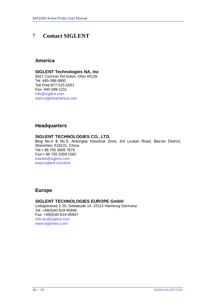## <span id="page-17-0"></span>7 **Contact SIGLENT**

#### **America**

#### **SIGLENT Technologies NA, Inc**

6557 Cochran Rd Solon, Ohio 44139 Tel: 440-398-5800 Toll Free:877-515-5551 Fax: 440-399-1211 [info@siglent.com](mailto:info@siglent.com) [www.siglentamerica.com](http://www.siglentamerica.com/)

#### **Headquarters**

#### **SIGLENT TECHNOLOGIES CO., LTD.**

Blog No.4 & No.5, Antongda Industrial Zone, 3rd Liuxian Road, Bao'an District, Shenzhen, 518101, China. Tel:+ 86 755 3688 7876 Fax:+ 86 755 3359 1582 [market@siglent.com](mailto:market@siglent.com) [www.siglent.com/ens](http://www.siglent.com/ens)

### **Europe**

#### **SIGLENT TECHNOLOGIES EUROPE GmbH**

Liebigstrasse 2-20, Gebaeude 14, 22113 Hamburg Germany Tel: +49(0)40-819-95946 Fax: +49(0)40-819-95947 [info-eu@siglent.com](mailto:info-eu@siglent.com) [www.siglenteu.com](http://www.siglenteu.com/)